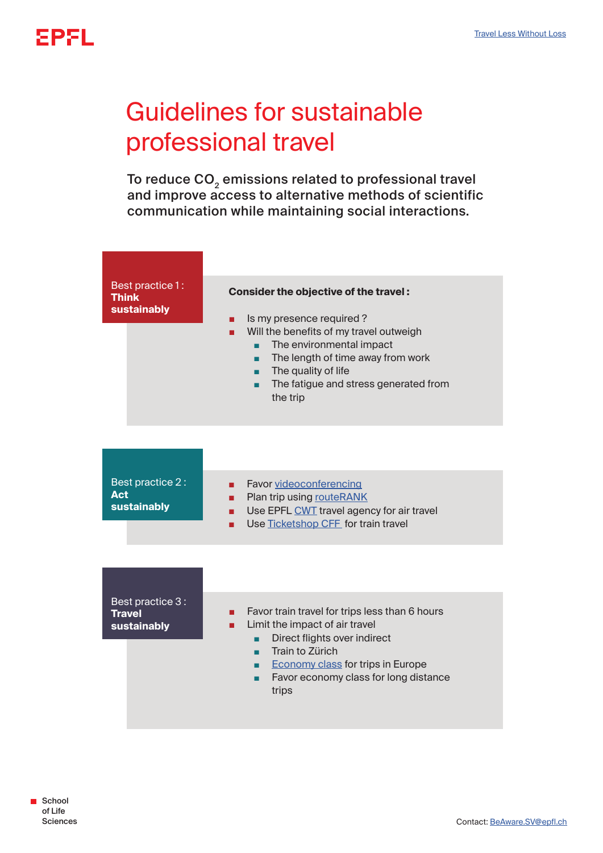## Guidelines for sustainable professional travel

To reduce CO<sub>2</sub> emissions related to professional travel and improve access to alternative methods of scientific communication while maintaining social interactions.